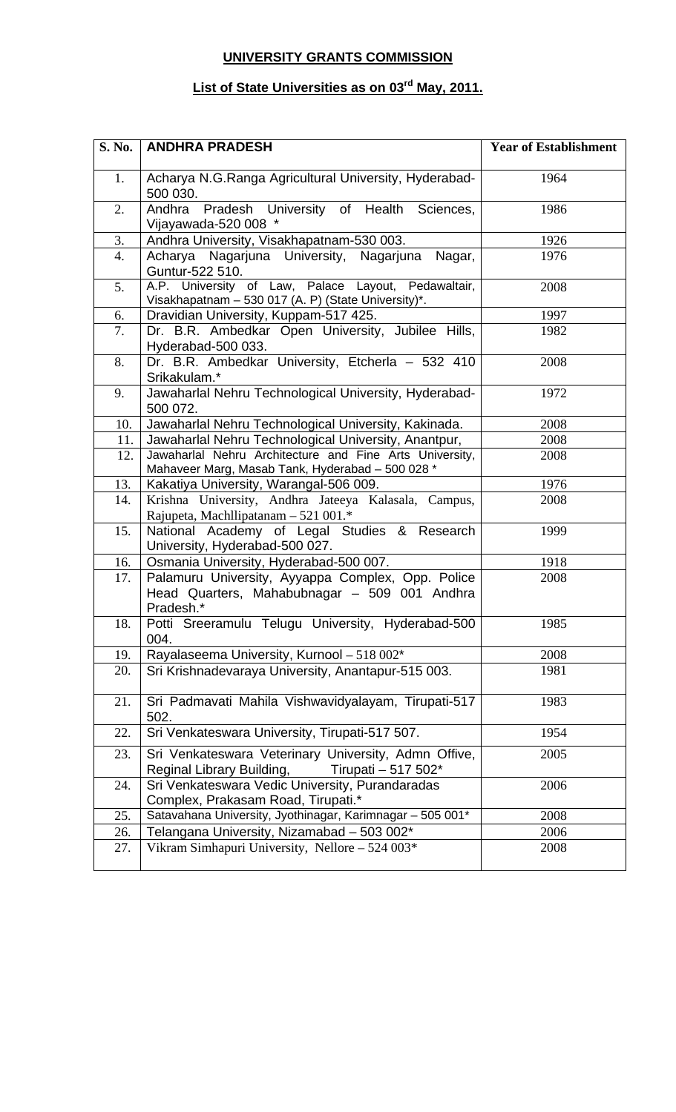## **UNIVERSITY GRANTS COMMISSION**

## **List of State Universities as on 03rd May, 2011.**

| <b>S. No.</b> | <b>ANDHRA PRADESH</b>                                                                                           | <b>Year of Establishment</b> |
|---------------|-----------------------------------------------------------------------------------------------------------------|------------------------------|
| 1.            | Acharya N.G.Ranga Agricultural University, Hyderabad-<br>500 030.                                               | 1964                         |
| 2.            | Andhra Pradesh University of Health Sciences,<br>Vijayawada-520 008 *                                           | 1986                         |
| 3.            | Andhra University, Visakhapatnam-530 003.                                                                       | 1926                         |
| 4.            | Acharya Nagarjuna University, Nagarjuna<br>Nagar,<br>Guntur-522 510.                                            | 1976                         |
| 5.            | A.P. University of Law, Palace Layout, Pedawaltair,<br>Visakhapatnam - 530 017 (A. P) (State University)*.      | 2008                         |
| 6.            | Dravidian University, Kuppam-517 425.                                                                           | 1997                         |
| 7.            | Dr. B.R. Ambedkar Open University, Jubilee Hills,<br>Hyderabad-500 033.                                         | 1982                         |
| 8.            | Dr. B.R. Ambedkar University, Etcherla - 532 410<br>Srikakulam.*                                                | 2008                         |
| 9.            | Jawaharlal Nehru Technological University, Hyderabad-<br>500 072.                                               | 1972                         |
| 10.           | Jawaharlal Nehru Technological University, Kakinada.                                                            | 2008                         |
| 11.           | Jawaharlal Nehru Technological University, Anantpur,                                                            | 2008                         |
| 12.           | Jawaharlal Nehru Architecture and Fine Arts University,<br>Mahaveer Marg, Masab Tank, Hyderabad - 500 028 *     | 2008                         |
| 13.           | Kakatiya University, Warangal-506 009.                                                                          | 1976                         |
| 14.           | Krishna University, Andhra Jateeya Kalasala, Campus,<br>Rajupeta, Machllipatanam - 521 001.*                    | 2008                         |
| 15.           | National Academy of Legal Studies & Research<br>University, Hyderabad-500 027.                                  | 1999                         |
| 16.           | Osmania University, Hyderabad-500 007.                                                                          | 1918                         |
| 17.           | Palamuru University, Ayyappa Complex, Opp. Police<br>Head Quarters, Mahabubnagar - 509 001 Andhra<br>Pradesh.*  | 2008                         |
| 18.           | Potti Sreeramulu Telugu University, Hyderabad-500<br>004.                                                       | 1985                         |
| 19.           | Rayalaseema University, Kurnool - 518 002*                                                                      | 2008                         |
| 20.           | Sri Krishnadevaraya University, Anantapur-515 003.                                                              | 1981                         |
| 21.           | Sri Padmavati Mahila Vishwavidyalayam, Tirupati-517<br>502.                                                     | 1983                         |
| 22.           | Sri Venkateswara University, Tirupati-517 507.                                                                  | 1954                         |
| 23.           | Sri Venkateswara Veterinary University, Admn Offive,<br>Tirupati - 517 502*<br><b>Reginal Library Building,</b> | 2005                         |
| 24.           | Sri Venkateswara Vedic University, Purandaradas<br>Complex, Prakasam Road, Tirupati.*                           | 2006                         |
| 25.           | Satavahana University, Jyothinagar, Karimnagar - 505 001*                                                       | 2008                         |
| 26.           | Telangana University, Nizamabad - 503 002*                                                                      | 2006                         |
| 27.           | Vikram Simhapuri University, Nellore - 524 003*                                                                 | 2008                         |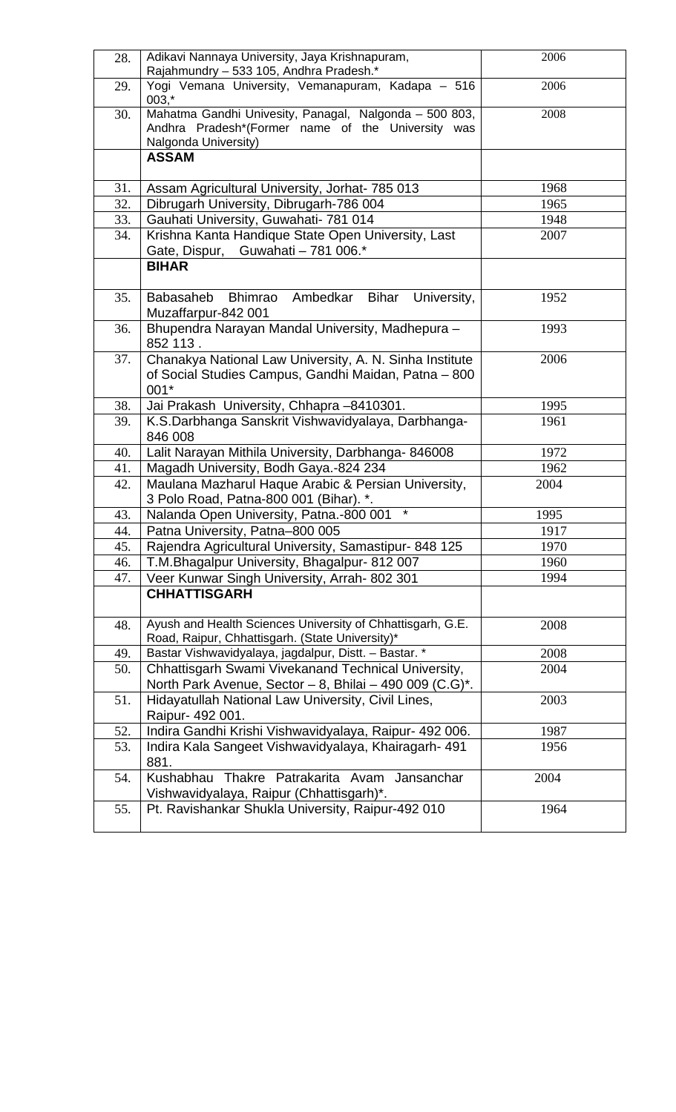| 28. | Adikavi Nannaya University, Jaya Krishnapuram,<br>Rajahmundry - 533 105, Andhra Pradesh.*                                           | 2006 |
|-----|-------------------------------------------------------------------------------------------------------------------------------------|------|
| 29. | Yogi Vemana University, Vemanapuram, Kadapa - 516<br>$003, *$                                                                       | 2006 |
| 30. | Mahatma Gandhi Univesity, Panagal, Nalgonda - 500 803,<br>Andhra Pradesh*(Former name of the University was<br>Nalgonda University) | 2008 |
|     | <b>ASSAM</b>                                                                                                                        |      |
| 31. | Assam Agricultural University, Jorhat- 785 013                                                                                      | 1968 |
| 32. | Dibrugarh University, Dibrugarh-786 004                                                                                             | 1965 |
| 33. | Gauhati University, Guwahati- 781 014                                                                                               | 1948 |
| 34. | Krishna Kanta Handique State Open University, Last<br>Gate, Dispur, Guwahati - 781 006.*                                            | 2007 |
|     | <b>BIHAR</b>                                                                                                                        |      |
| 35. | Bhimrao Ambedkar<br><b>Bihar</b><br>University,<br><b>Babasaheb</b><br>Muzaffarpur-842 001                                          | 1952 |
| 36. | Bhupendra Narayan Mandal University, Madhepura -<br>852 113.                                                                        | 1993 |
| 37. | Chanakya National Law University, A. N. Sinha Institute<br>of Social Studies Campus, Gandhi Maidan, Patna - 800<br>001*             | 2006 |
| 38. | Jai Prakash University, Chhapra -8410301.                                                                                           | 1995 |
| 39. | K.S.Darbhanga Sanskrit Vishwavidyalaya, Darbhanga-<br>846 008                                                                       | 1961 |
| 40. | Lalit Narayan Mithila University, Darbhanga- 846008                                                                                 | 1972 |
| 41. | Magadh University, Bodh Gaya.-824 234                                                                                               | 1962 |
| 42. | Maulana Mazharul Haque Arabic & Persian University,<br>3 Polo Road, Patna-800 001 (Bihar). *.                                       | 2004 |
| 43. | $\star$<br>Nalanda Open University, Patna.-800 001                                                                                  | 1995 |
| 44. | Patna University, Patna-800 005                                                                                                     | 1917 |
| 45. | Rajendra Agricultural University, Samastipur- 848 125                                                                               | 1970 |
| 46. | T.M.Bhagalpur University, Bhagalpur- 812 007                                                                                        | 1960 |
| 47. | Veer Kunwar Singh University, Arrah- 802 301<br><b>CHHATTISGARH</b>                                                                 | 1994 |
| 48. | Ayush and Health Sciences University of Chhattisgarh, G.E.<br>Road, Raipur, Chhattisgarh. (State University)*                       | 2008 |
| 49. | Bastar Vishwavidyalaya, jagdalpur, Distt. - Bastar. *                                                                               | 2008 |
| 50. | Chhattisgarh Swami Vivekanand Technical University,<br>North Park Avenue, Sector - 8, Bhilai - 490 009 (C.G)*.                      | 2004 |
| 51. | Hidayatullah National Law University, Civil Lines,<br>Raipur- 492 001.                                                              | 2003 |
| 52. | Indira Gandhi Krishi Vishwavidyalaya, Raipur- 492 006.                                                                              | 1987 |
| 53. | Indira Kala Sangeet Vishwavidyalaya, Khairagarh- 491<br>881.                                                                        | 1956 |
| 54. | Kushabhau<br>Thakre Patrakarita Avam<br>Jansanchar<br>Vishwavidyalaya, Raipur (Chhattisgarh)*.                                      | 2004 |
| 55. | Pt. Ravishankar Shukla University, Raipur-492 010                                                                                   | 1964 |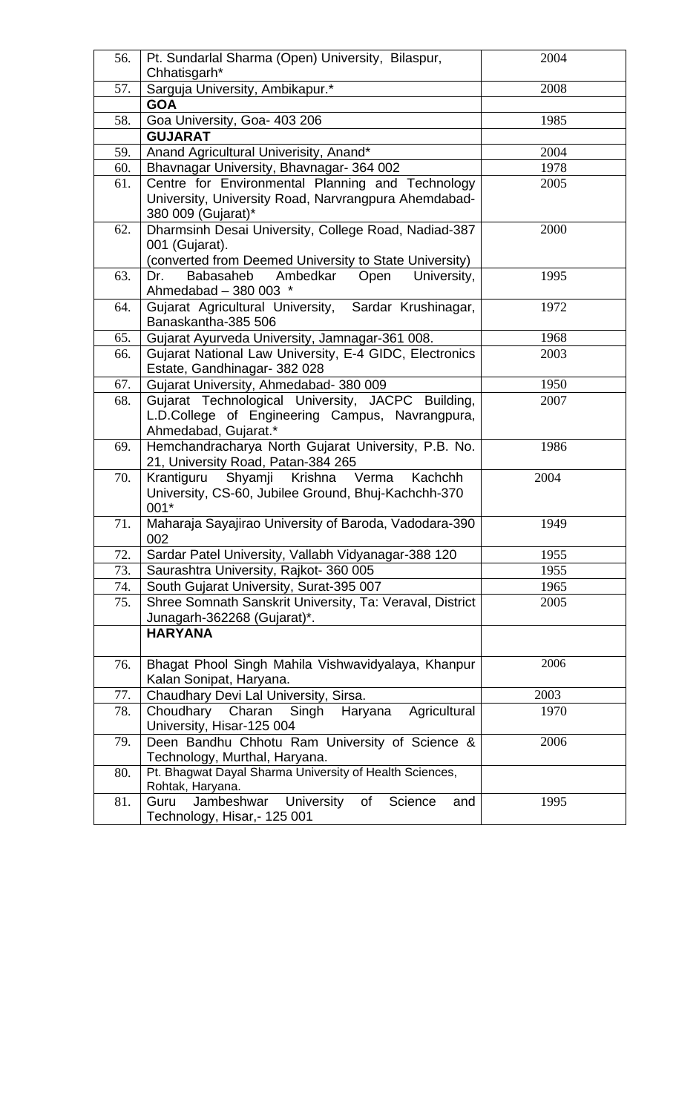| 56. | Pt. Sundarlal Sharma (Open) University, Bilaspur,<br>Chhatisgarh*                                                                | 2004 |
|-----|----------------------------------------------------------------------------------------------------------------------------------|------|
| 57. | Sarguja University, Ambikapur.*                                                                                                  | 2008 |
|     | <b>GOA</b>                                                                                                                       |      |
| 58. | Goa University, Goa- 403 206                                                                                                     | 1985 |
|     | <b>GUJARAT</b>                                                                                                                   |      |
| 59. | Anand Agricultural Univerisity, Anand*                                                                                           | 2004 |
| 60. | Bhavnagar University, Bhavnagar- 364 002                                                                                         | 1978 |
| 61. | Centre for Environmental Planning and Technology<br>University, University Road, Narvrangpura Ahemdabad-<br>380 009 (Gujarat)*   | 2005 |
| 62. | Dharmsinh Desai University, College Road, Nadiad-387<br>001 (Gujarat).<br>(converted from Deemed University to State University) | 2000 |
| 63. | Babasaheb<br>Ambedkar<br>University,<br>Dr.<br>Open<br>Ahmedabad - 380 003 *                                                     | 1995 |
| 64. | Gujarat Agricultural University, Sardar Krushinagar,<br>Banaskantha-385 506                                                      | 1972 |
| 65. | Gujarat Ayurveda University, Jamnagar-361 008.                                                                                   | 1968 |
| 66. | Gujarat National Law University, E-4 GIDC, Electronics<br>Estate, Gandhinagar- 382 028                                           | 2003 |
| 67. | Gujarat University, Ahmedabad- 380 009                                                                                           | 1950 |
| 68. | Gujarat Technological University, JACPC Building,<br>L.D.College of Engineering Campus, Navrangpura,<br>Ahmedabad, Gujarat.*     | 2007 |
| 69. | Hemchandracharya North Gujarat University, P.B. No.<br>21, University Road, Patan-384 265                                        | 1986 |
| 70. | Krantiguru Shyamji Krishna<br>Verma<br>Kachchh<br>University, CS-60, Jubilee Ground, Bhuj-Kachchh-370<br>001*                    | 2004 |
| 71. | Maharaja Sayajirao University of Baroda, Vadodara-390<br>002                                                                     | 1949 |
| 72. | Sardar Patel University, Vallabh Vidyanagar-388 120                                                                              | 1955 |
| 73. | Saurashtra University, Rajkot-360 005                                                                                            | 1955 |
| 74. | South Gujarat University, Surat-395 007                                                                                          | 1965 |
| 75. | Shree Somnath Sanskrit University, Ta: Veraval, District<br>Junagarh-362268 (Gujarat)*.                                          | 2005 |
|     | <b>HARYANA</b>                                                                                                                   |      |
| 76. | Bhagat Phool Singh Mahila Vishwavidyalaya, Khanpur<br>Kalan Sonipat, Haryana.                                                    | 2006 |
| 77. | Chaudhary Devi Lal University, Sirsa.                                                                                            | 2003 |
| 78. | Choudhary<br>Charan<br>Singh<br>Haryana<br>Agricultural<br>University, Hisar-125 004                                             | 1970 |
| 79. | Deen Bandhu Chhotu Ram University of Science &<br>Technology, Murthal, Haryana.                                                  | 2006 |
| 80. | Pt. Bhagwat Dayal Sharma University of Health Sciences,<br>Rohtak, Haryana.                                                      |      |
| 81. | University of<br>Jambeshwar<br>Science<br>Guru<br>and<br>Technology, Hisar,- 125 001                                             | 1995 |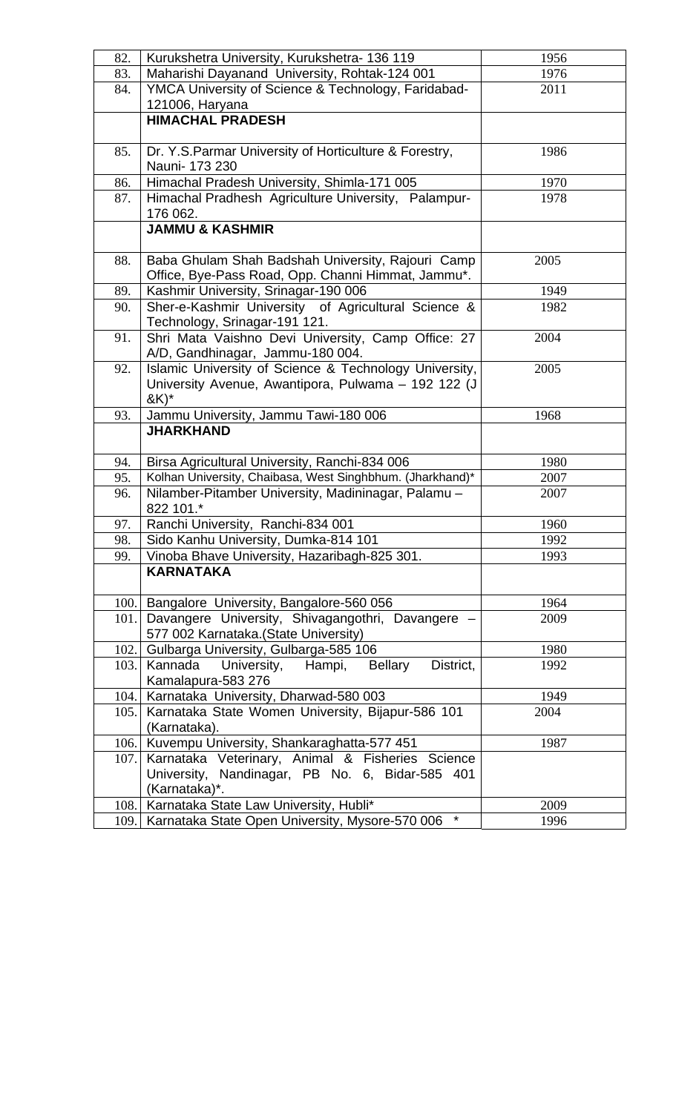| 82.  | Kurukshetra University, Kurukshetra- 136 119                                                               | 1956 |
|------|------------------------------------------------------------------------------------------------------------|------|
| 83.  | Maharishi Dayanand University, Rohtak-124 001                                                              | 1976 |
| 84.  | YMCA University of Science & Technology, Faridabad-                                                        | 2011 |
|      | 121006, Haryana                                                                                            |      |
|      | <b>HIMACHAL PRADESH</b>                                                                                    |      |
|      |                                                                                                            |      |
| 85.  | Dr. Y.S. Parmar University of Horticulture & Forestry,                                                     | 1986 |
|      | Nauni- 173 230                                                                                             |      |
| 86.  | Himachal Pradesh University, Shimla-171 005                                                                | 1970 |
| 87.  | Himachal Pradhesh Agriculture University, Palampur-                                                        | 1978 |
|      | 176 062.                                                                                                   |      |
|      | <b>JAMMU &amp; KASHMIR</b>                                                                                 |      |
|      |                                                                                                            |      |
| 88.  | Baba Ghulam Shah Badshah University, Rajouri Camp                                                          | 2005 |
|      | Office, Bye-Pass Road, Opp. Channi Himmat, Jammu*.                                                         |      |
| 89.  | Kashmir University, Srinagar-190 006                                                                       | 1949 |
| 90.  | Sher-e-Kashmir University of Agricultural Science &                                                        | 1982 |
|      | Technology, Srinagar-191 121.                                                                              |      |
| 91.  | Shri Mata Vaishno Devi University, Camp Office: 27                                                         | 2004 |
|      | A/D, Gandhinagar, Jammu-180 004.                                                                           |      |
| 92.  | Islamic University of Science & Technology University,                                                     | 2005 |
|      | University Avenue, Awantipora, Pulwama - 192 122 (J                                                        |      |
|      | $kK$ <sup>*</sup>                                                                                          |      |
| 93.  | Jammu University, Jammu Tawi-180 006                                                                       | 1968 |
|      | <b>JHARKHAND</b>                                                                                           |      |
|      |                                                                                                            |      |
| 94.  | Birsa Agricultural University, Ranchi-834 006<br>Kolhan University, Chaibasa, West Singhbhum. (Jharkhand)* | 1980 |
| 95.  |                                                                                                            | 2007 |
| 96.  | Nilamber-Pitamber University, Madininagar, Palamu -<br>822 101.*                                           | 2007 |
| 97.  | Ranchi University, Ranchi-834 001                                                                          | 1960 |
| 98.  | Sido Kanhu University, Dumka-814 101                                                                       | 1992 |
| 99.  | Vinoba Bhave University, Hazaribagh-825 301.                                                               | 1993 |
|      | <b>KARNATAKA</b>                                                                                           |      |
|      |                                                                                                            |      |
| 100. | Bangalore University, Bangalore-560 056                                                                    | 1964 |
| 101. | Davangere University, Shivagangothri, Davangere                                                            | 2009 |
|      | 577 002 Karnataka. (State University)                                                                      |      |
| 102. | Gulbarga University, Gulbarga-585 106                                                                      | 1980 |
| 103. | University, Hampi,<br>Kannada<br>Bellary<br>District,                                                      | 1992 |
|      | Kamalapura-583 276                                                                                         |      |
| 104. | Karnataka University, Dharwad-580 003                                                                      | 1949 |
| 105. | Karnataka State Women University, Bijapur-586 101                                                          | 2004 |
|      | (Karnataka).                                                                                               |      |
| 106. | Kuvempu University, Shankaraghatta-577 451                                                                 | 1987 |
| 107. | Karnataka Veterinary, Animal & Fisheries Science                                                           |      |
|      | University, Nandinagar, PB No. 6, Bidar-585 401                                                            |      |
|      | (Karnataka)*.                                                                                              |      |
| 108. | Karnataka State Law University, Hubli*                                                                     | 2009 |
| 109. | Karnataka State Open University, Mysore-570 006                                                            | 1996 |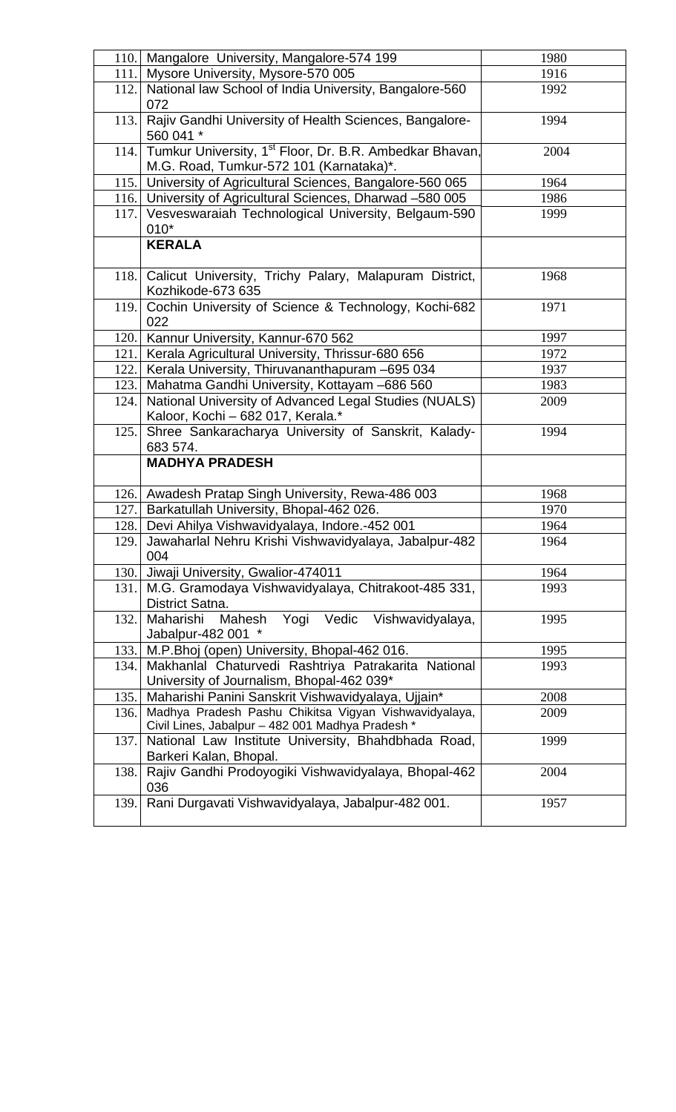| 110. | Mangalore University, Mangalore-574 199                                                                 | 1980 |
|------|---------------------------------------------------------------------------------------------------------|------|
| 111. | Mysore University, Mysore-570 005                                                                       | 1916 |
| 112. | National law School of India University, Bangalore-560                                                  | 1992 |
|      | 072                                                                                                     |      |
| 113. | Rajiv Gandhi University of Health Sciences, Bangalore-<br>560 041 *                                     | 1994 |
| 114. | Tumkur University, 1 <sup>st</sup> Floor, Dr. B.R. Ambedkar Bhavan,                                     | 2004 |
|      | M.G. Road, Tumkur-572 101 (Karnataka)*.                                                                 |      |
|      | 115. University of Agricultural Sciences, Bangalore-560 065                                             | 1964 |
| 116. | University of Agricultural Sciences, Dharwad -580 005                                                   | 1986 |
| 117. | Vesveswaraiah Technological University, Belgaum-590<br>$010*$                                           | 1999 |
|      | <b>KERALA</b>                                                                                           |      |
| 118. | Calicut University, Trichy Palary, Malapuram District,<br>Kozhikode-673 635                             | 1968 |
| 119. | Cochin University of Science & Technology, Kochi-682<br>022                                             | 1971 |
| 120. | Kannur University, Kannur-670 562                                                                       | 1997 |
| 121. | Kerala Agricultural University, Thrissur-680 656                                                        | 1972 |
| 122. | Kerala University, Thiruvananthapuram -695 034                                                          | 1937 |
| 123. | Mahatma Gandhi University, Kottayam -686 560                                                            | 1983 |
| 124. | National University of Advanced Legal Studies (NUALS)<br>Kaloor, Kochi - 682 017, Kerala.*              | 2009 |
| 125. | Shree Sankaracharya University of Sanskrit, Kalady-<br>683 574.                                         | 1994 |
|      | <b>MADHYA PRADESH</b>                                                                                   |      |
|      | 126. Awadesh Pratap Singh University, Rewa-486 003                                                      | 1968 |
| 127. | Barkatullah University, Bhopal-462 026.                                                                 | 1970 |
| 128. | Devi Ahilya Vishwavidyalaya, Indore.-452 001                                                            | 1964 |
| 129. | Jawaharlal Nehru Krishi Vishwavidyalaya, Jabalpur-482<br>004                                            | 1964 |
| 130. | Jiwaji University, Gwalior-474011                                                                       | 1964 |
| 131. | M.G. Gramodaya Vishwavidyalaya, Chitrakoot-485 331,<br>District Satna.                                  | 1993 |
| 132. | Maharishi<br>Mahesh<br>Yogi<br>Vedic<br>Vishwavidyalaya,<br>Jabalpur-482 001 *                          | 1995 |
| 133. | M.P.Bhoj (open) University, Bhopal-462 016.                                                             | 1995 |
| 134. | Makhanlal Chaturvedi Rashtriya Patrakarita National<br>University of Journalism, Bhopal-462 039*        | 1993 |
| 135. | Maharishi Panini Sanskrit Vishwavidyalaya, Ujjain*                                                      | 2008 |
| 136. | Madhya Pradesh Pashu Chikitsa Vigyan Vishwavidyalaya,                                                   | 2009 |
| 137. | Civil Lines, Jabalpur - 482 001 Madhya Pradesh *<br>National Law Institute University, Bhahdbhada Road, | 1999 |
|      | Barkeri Kalan, Bhopal.                                                                                  |      |
| 138. | Rajiv Gandhi Prodoyogiki Vishwavidyalaya, Bhopal-462<br>036                                             | 2004 |
| 139. | Rani Durgavati Vishwavidyalaya, Jabalpur-482 001.                                                       | 1957 |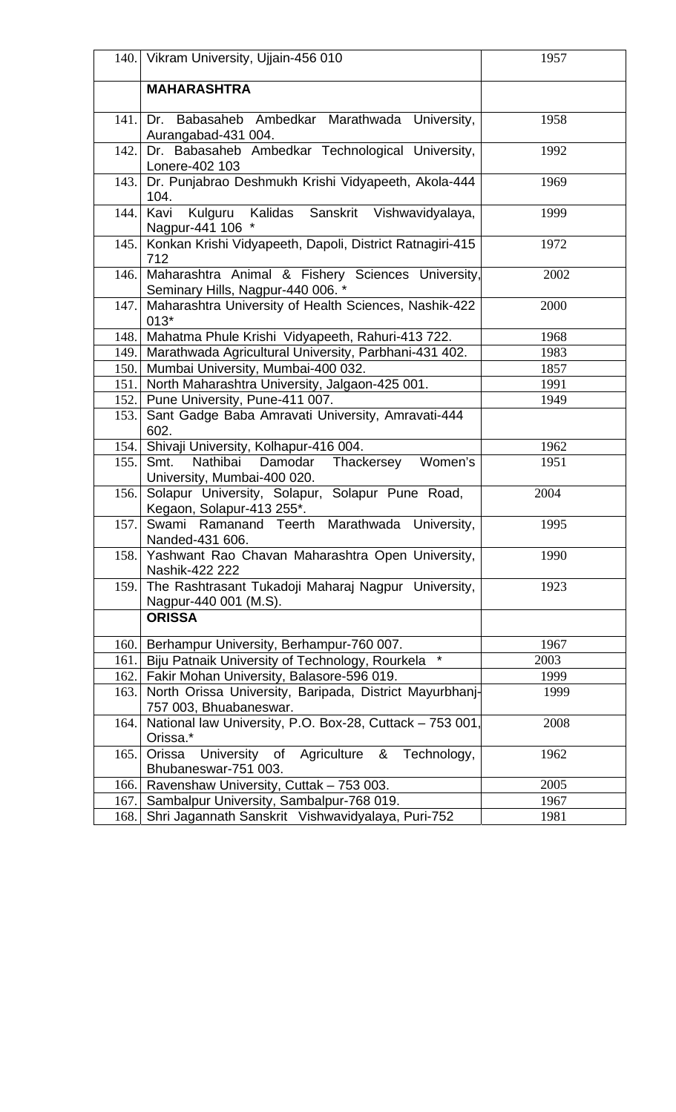|      | 140. Vikram University, Ujjain-456 010                                                 | 1957 |  |  |
|------|----------------------------------------------------------------------------------------|------|--|--|
|      | <b>MAHARASHTRA</b>                                                                     |      |  |  |
| 141. | Dr. Babasaheb Ambedkar Marathwada University,<br>Aurangabad-431 004.                   | 1958 |  |  |
| 142. | Dr. Babasaheb Ambedkar Technological University,<br>Lonere-402 103                     | 1992 |  |  |
| 143. | Dr. Punjabrao Deshmukh Krishi Vidyapeeth, Akola-444<br>104.                            | 1969 |  |  |
| 144. | Kalidas Sanskrit Vishwavidyalaya,<br>Kavi<br>Kulguru<br>Nagpur-441 106 *               | 1999 |  |  |
| 145. | Konkan Krishi Vidyapeeth, Dapoli, District Ratnagiri-415<br>712                        | 1972 |  |  |
| 146. | Maharashtra Animal & Fishery Sciences University,<br>Seminary Hills, Nagpur-440 006. * | 2002 |  |  |
| 147. | Maharashtra University of Health Sciences, Nashik-422<br>$013*$                        | 2000 |  |  |
| 148. | Mahatma Phule Krishi Vidyapeeth, Rahuri-413 722.                                       | 1968 |  |  |
| 149. | Marathwada Agricultural University, Parbhani-431 402.                                  | 1983 |  |  |
| 150. | Mumbai University, Mumbai-400 032.                                                     | 1857 |  |  |
| 151. | North Maharashtra University, Jalgaon-425 001.                                         | 1991 |  |  |
| 152. | Pune University, Pune-411 007.                                                         | 1949 |  |  |
| 153. | Sant Gadge Baba Amravati University, Amravati-444<br>602.                              |      |  |  |
| 154. | Shivaji University, Kolhapur-416 004.                                                  | 1962 |  |  |
| 155. | Nathibai Damodar<br>Women's<br>Smt.<br>Thackersey<br>University, Mumbai-400 020.       | 1951 |  |  |
| 156. | Solapur University, Solapur, Solapur Pune Road,<br>Kegaon, Solapur-413 255*.           | 2004 |  |  |
| 157. | Swami Ramanand Teerth Marathwada University,<br>Nanded-431 606.                        | 1995 |  |  |
|      | 158. Yashwant Rao Chavan Maharashtra Open University,<br>Nashik-422 222                | 1990 |  |  |
|      | 159. The Rashtrasant Tukadoji Maharaj Nagpur University,<br>Nagpur-440 001 (M.S).      | 1923 |  |  |
|      | <b>ORISSA</b>                                                                          |      |  |  |
| 160. | Berhampur University, Berhampur-760 007.                                               | 1967 |  |  |
| 161. | $\star$<br>Biju Patnaik University of Technology, Rourkela                             | 2003 |  |  |
| 162. | Fakir Mohan University, Balasore-596 019.                                              | 1999 |  |  |
| 163. | North Orissa University, Baripada, District Mayurbhanj-<br>757 003, Bhuabaneswar.      | 1999 |  |  |
| 164. | National law University, P.O. Box-28, Cuttack - 753 001,<br>Orissa.*                   | 2008 |  |  |
| 165. | University of Agriculture & Technology,<br>Orissa<br>Bhubaneswar-751 003.              | 1962 |  |  |
| 166. | Ravenshaw University, Cuttak - 753 003.                                                | 2005 |  |  |
| 167. | Sambalpur University, Sambalpur-768 019.<br>1967                                       |      |  |  |
| 168. | Shri Jagannath Sanskrit Vishwavidyalaya, Puri-752                                      | 1981 |  |  |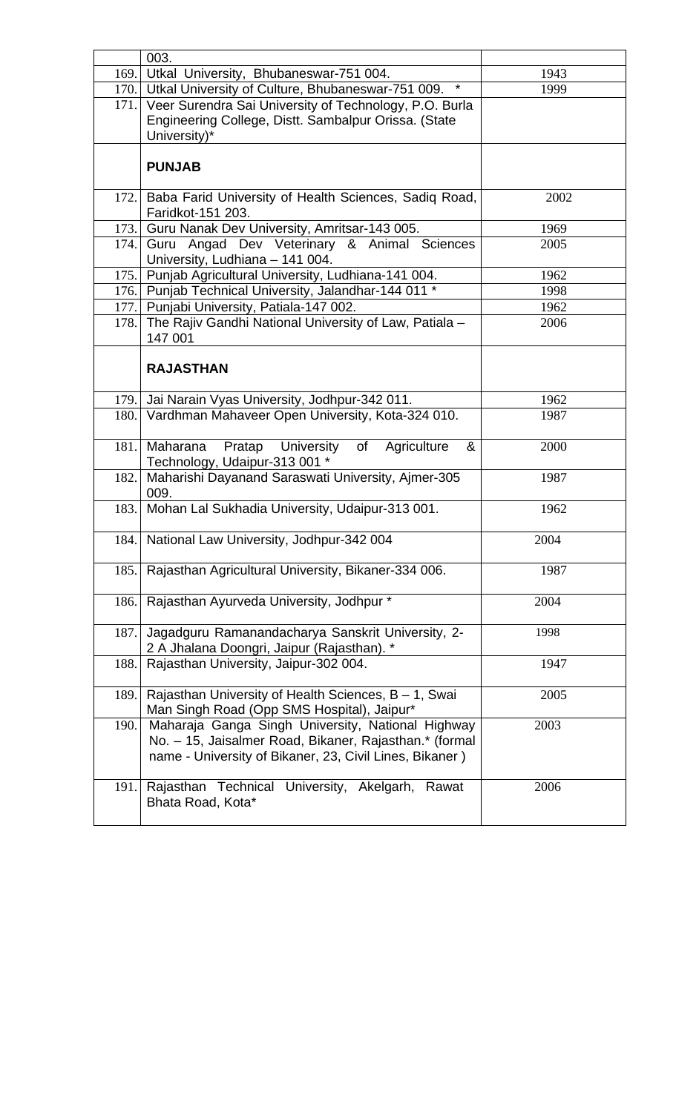|      | 003.                                                                                                                                                                   |      |
|------|------------------------------------------------------------------------------------------------------------------------------------------------------------------------|------|
| 169. | Utkal University, Bhubaneswar-751 004.<br>$\star$                                                                                                                      | 1943 |
|      | 170.   Utkal University of Culture, Bhubaneswar-751 009.                                                                                                               | 1999 |
|      | 171. Veer Surendra Sai University of Technology, P.O. Burla                                                                                                            |      |
|      | Engineering College, Distt. Sambalpur Orissa. (State                                                                                                                   |      |
|      | University)*                                                                                                                                                           |      |
|      | <b>PUNJAB</b>                                                                                                                                                          |      |
|      | 172. Baba Farid University of Health Sciences, Sadiq Road,<br>Faridkot-151 203.                                                                                        | 2002 |
| 173. | Guru Nanak Dev University, Amritsar-143 005.                                                                                                                           | 1969 |
| 174. | Guru Angad Dev Veterinary & Animal Sciences                                                                                                                            | 2005 |
|      | University, Ludhiana - 141 004.                                                                                                                                        |      |
|      | 175. Punjab Agricultural University, Ludhiana-141 004.                                                                                                                 | 1962 |
|      | 176. Punjab Technical University, Jalandhar-144 011 *                                                                                                                  | 1998 |
|      | 177. Punjabi University, Patiala-147 002.                                                                                                                              | 1962 |
| 178. | The Rajiv Gandhi National University of Law, Patiala -<br>147 001                                                                                                      | 2006 |
|      | <b>RAJASTHAN</b>                                                                                                                                                       |      |
| 179. | Jai Narain Vyas University, Jodhpur-342 011.                                                                                                                           | 1962 |
| 180. | Vardhman Mahaveer Open University, Kota-324 010.                                                                                                                       | 1987 |
|      |                                                                                                                                                                        |      |
| 181. | University of<br>Pratap<br>&<br>Maharana<br>Agriculture<br>Technology, Udaipur-313 001 *                                                                               | 2000 |
| 182. | Maharishi Dayanand Saraswati University, Ajmer-305<br>009.                                                                                                             | 1987 |
| 183. | Mohan Lal Sukhadia University, Udaipur-313 001.                                                                                                                        | 1962 |
|      | 184. National Law University, Jodhpur-342 004                                                                                                                          | 2004 |
| 185. | Rajasthan Agricultural University, Bikaner-334 006.                                                                                                                    | 1987 |
| 186. | Rajasthan Ayurveda University, Jodhpur *                                                                                                                               | 2004 |
| 187. | Jagadguru Ramanandacharya Sanskrit University, 2-<br>2 A Jhalana Doongri, Jaipur (Rajasthan). *                                                                        | 1998 |
| 188. | Rajasthan University, Jaipur-302 004.                                                                                                                                  | 1947 |
|      | 189.   Rajasthan University of Health Sciences, B - 1, Swai<br>Man Singh Road (Opp SMS Hospital), Jaipur*                                                              | 2005 |
| 190. | Maharaja Ganga Singh University, National Highway<br>No. - 15, Jaisalmer Road, Bikaner, Rajasthan.* (formal<br>name - University of Bikaner, 23, Civil Lines, Bikaner) | 2003 |
| 191. | Rajasthan Technical University, Akelgarh,<br>Rawat<br>Bhata Road, Kota*                                                                                                | 2006 |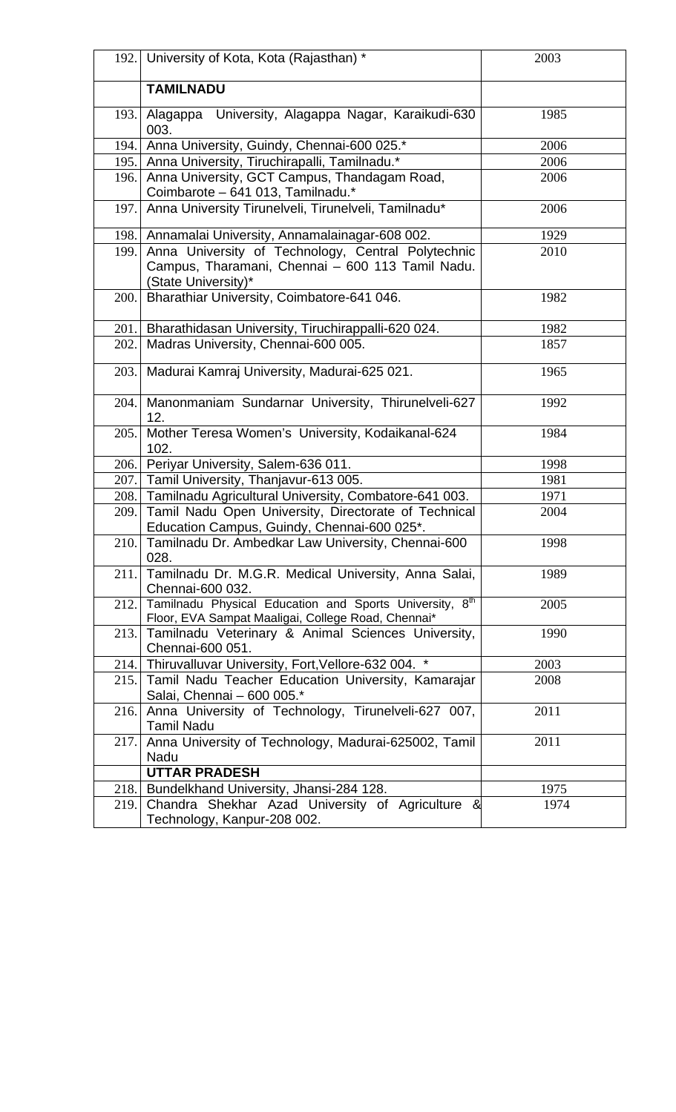|       | 192. University of Kota, Kota (Rajasthan) *                                                                                   | 2003 |
|-------|-------------------------------------------------------------------------------------------------------------------------------|------|
|       | <b>TAMILNADU</b>                                                                                                              |      |
| 193.1 | University, Alagappa Nagar, Karaikudi-630<br>Alagappa<br>003.                                                                 | 1985 |
| 194.  | Anna University, Guindy, Chennai-600 025.*                                                                                    | 2006 |
|       | 195. Anna University, Tiruchirapalli, Tamilnadu.*                                                                             | 2006 |
| 196.  | Anna University, GCT Campus, Thandagam Road,<br>Coimbarote - 641 013, Tamilnadu.*                                             | 2006 |
|       | 197. Anna University Tirunelveli, Tirunelveli, Tamilnadu*                                                                     | 2006 |
|       | 198. Annamalai University, Annamalainagar-608 002.                                                                            | 1929 |
| 199.  | Anna University of Technology, Central Polytechnic<br>Campus, Tharamani, Chennai - 600 113 Tamil Nadu.<br>(State University)* | 2010 |
| 200.  | Bharathiar University, Coimbatore-641 046.                                                                                    | 1982 |
| 201.  | Bharathidasan University, Tiruchirappalli-620 024.                                                                            | 1982 |
| 202.  | Madras University, Chennai-600 005.                                                                                           | 1857 |
| 203.  | Madurai Kamraj University, Madurai-625 021.                                                                                   | 1965 |
| 204.  | Manonmaniam Sundarnar University, Thirunelveli-627<br>12.                                                                     | 1992 |
| 205.  | Mother Teresa Women's University, Kodaikanal-624<br>102.                                                                      | 1984 |
|       | 206. Periyar University, Salem-636 011.                                                                                       | 1998 |
|       | 207. Tamil University, Thanjavur-613 005.                                                                                     | 1981 |
|       | 208. Tamilnadu Agricultural University, Combatore-641 003.                                                                    | 1971 |
|       | 209. Tamil Nadu Open University, Directorate of Technical<br>Education Campus, Guindy, Chennai-600 025*.                      | 2004 |
|       | 210. Tamilnadu Dr. Ambedkar Law University, Chennai-600<br>028.                                                               | 1998 |
|       | 211. Tamilnadu Dr. M.G.R. Medical University, Anna Salai,<br>Chennai-600 032.                                                 | 1989 |
| 212.  | Tamilnadu Physical Education and Sports University, 8th<br>Floor, EVA Sampat Maaligai, College Road, Chennai*                 | 2005 |
|       | 213. Tamilnadu Veterinary & Animal Sciences University,<br>Chennai-600 051.                                                   | 1990 |
|       | 214. Thiruvalluvar University, Fort, Vellore-632 004. *                                                                       | 2003 |
|       | 215. Tamil Nadu Teacher Education University, Kamarajar<br>Salai, Chennai - 600 005.*                                         | 2008 |
| 216.  | Anna University of Technology, Tirunelveli-627 007,<br><b>Tamil Nadu</b>                                                      | 2011 |
| 217.  | Anna University of Technology, Madurai-625002, Tamil<br>Nadu                                                                  | 2011 |
|       | <b>UTTAR PRADESH</b>                                                                                                          |      |
| 218.  | Bundelkhand University, Jhansi-284 128.                                                                                       | 1975 |
| 219.  | Chandra Shekhar Azad University of Agriculture &                                                                              | 1974 |
|       | Technology, Kanpur-208 002.                                                                                                   |      |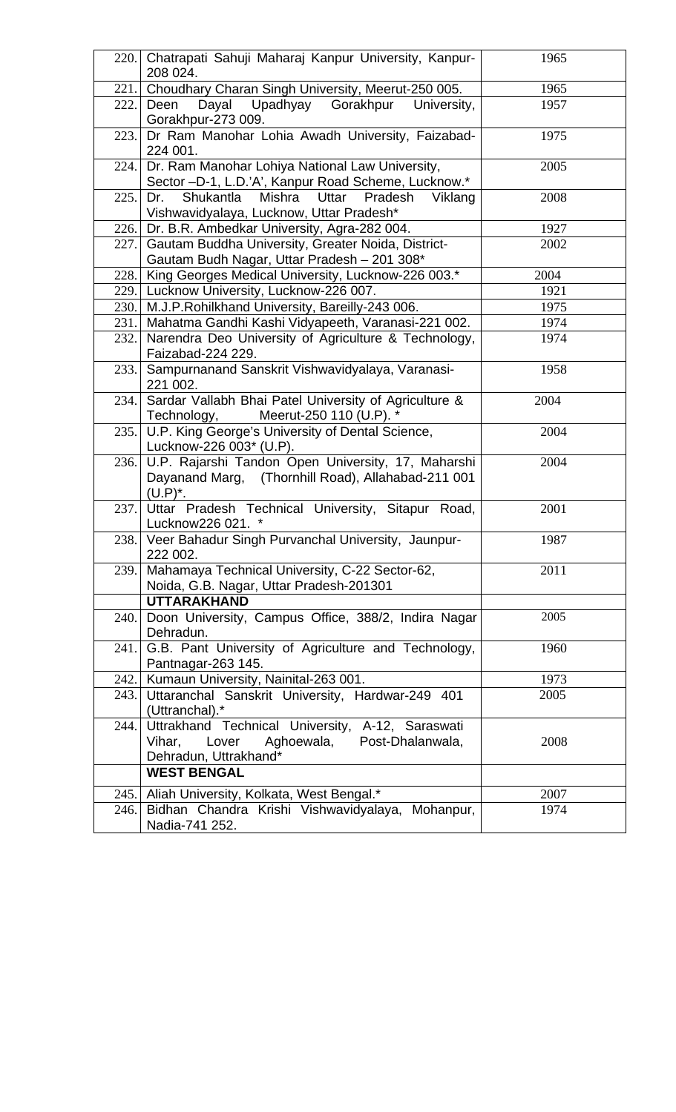|       | 220. Chatrapati Sahuji Maharaj Kanpur University, Kanpur-<br>208 024.                                                                                | 1965 |
|-------|------------------------------------------------------------------------------------------------------------------------------------------------------|------|
| 221.  | Choudhary Charan Singh University, Meerut-250 005.                                                                                                   | 1965 |
| 222.  | Deen<br>Upadhyay<br>Gorakhpur<br>Dayal<br>University,                                                                                                | 1957 |
|       | Gorakhpur-273 009.                                                                                                                                   |      |
|       | 223. Dr Ram Manohar Lohia Awadh University, Faizabad-<br>224 001.                                                                                    | 1975 |
| 224.1 | Dr. Ram Manohar Lohiya National Law University,<br>Sector -D-1, L.D.'A', Kanpur Road Scheme, Lucknow.*                                               | 2005 |
| 225.  | Dr.<br>Shukantla<br>Mishra<br>Uttar<br>Pradesh<br>Viklang<br>Vishwavidyalaya, Lucknow, Uttar Pradesh*                                                | 2008 |
|       | 226. Dr. B.R. Ambedkar University, Agra-282 004.                                                                                                     | 1927 |
| 227.1 | Gautam Buddha University, Greater Noida, District-<br>Gautam Budh Nagar, Uttar Pradesh - 201 308*                                                    | 2002 |
|       | 228. King Georges Medical University, Lucknow-226 003.*                                                                                              | 2004 |
|       | 229. Lucknow University, Lucknow-226 007.                                                                                                            | 1921 |
|       | 230. M.J.P.Rohilkhand University, Bareilly-243 006.                                                                                                  | 1975 |
|       | 231. Mahatma Gandhi Kashi Vidyapeeth, Varanasi-221 002.                                                                                              | 1974 |
| 232.1 | Narendra Deo University of Agriculture & Technology,<br>Faizabad-224 229.                                                                            | 1974 |
| 233.  | Sampurnanand Sanskrit Vishwavidyalaya, Varanasi-<br>221 002.                                                                                         | 1958 |
| 234.  | Sardar Vallabh Bhai Patel University of Agriculture &<br>Meerut-250 110 (U.P). *<br>Technology,                                                      | 2004 |
|       | 235.   U.P. King George's University of Dental Science,<br>Lucknow-226 003* (U.P).                                                                   | 2004 |
|       | 236. U.P. Rajarshi Tandon Open University, 17, Maharshi<br>Dayanand Marg, (Thornhill Road), Allahabad-211 001<br>$(U.P)^*$ .                         | 2004 |
|       | 237. Uttar Pradesh Technical University, Sitapur Road,<br>Lucknow226 021. *                                                                          | 2001 |
|       | 238. Veer Bahadur Singh Purvanchal University, Jaunpur-<br>222 002.                                                                                  | 1987 |
| 239.1 | Mahamaya Technical University, C-22 Sector-62,<br>Noida, G.B. Nagar, Uttar Pradesh-201301                                                            | 2011 |
|       | <b>UTTARAKHAND</b>                                                                                                                                   |      |
| 240.1 | Doon University, Campus Office, 388/2, Indira Nagar<br>Dehradun.                                                                                     | 2005 |
| 241.  | G.B. Pant University of Agriculture and Technology,<br>Pantnagar-263 145.                                                                            | 1960 |
| 242.1 | Kumaun University, Nainital-263 001.                                                                                                                 | 1973 |
| 243.1 | Uttaranchal Sanskrit University, Hardwar-249 401<br>(Uttranchal).*                                                                                   | 2005 |
| 244.  | Uttrakhand Technical University, A-12, Saraswati<br>Vihar,<br>Lover<br>Aghoewala,<br>Post-Dhalanwala,<br>Dehradun, Uttrakhand*<br><b>WEST BENGAL</b> | 2008 |
|       |                                                                                                                                                      |      |
|       | 245. Aliah University, Kolkata, West Bengal.*                                                                                                        | 2007 |
|       | 246. Bidhan Chandra Krishi Vishwavidyalaya, Mohanpur,<br>Nadia-741 252.                                                                              | 1974 |